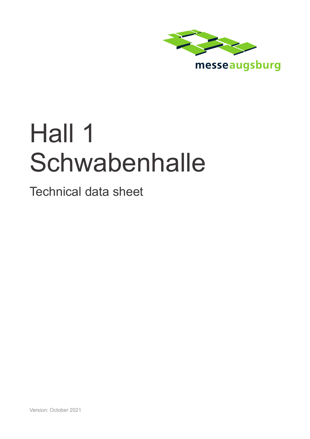

messeaugsburg

# Hall 1 **Schwabenhalle**

Technical data sheet

Version: October 2021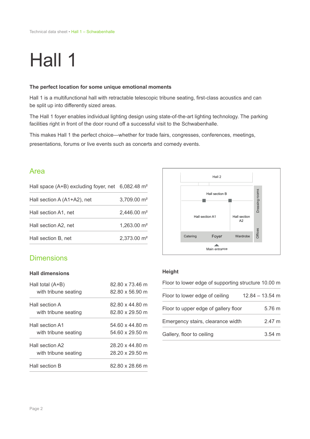## Hall 1

#### **The perfect location for some unique emotional moments**

Hall 1 is a multifunctional hall with retractable telescopic tribune seating, first-class acoustics and can be split up into differently sized areas.

The Hall 1 foyer enables individual lighting design using state-of-the-art lighting technology. The parking facilities right in front of the door round off a successful visit to the Schwabenhalle.

This makes Hall 1 the perfect choice—whether for trade fairs, congresses, conferences, meetings, presentations, forums or live events such as concerts and comedy events.

## Area

| Hall space $(A+B)$ excluding foyer, net 6,082.48 m <sup>2</sup> |                         |
|-----------------------------------------------------------------|-------------------------|
| Hall section A (A1+A2), net                                     | 3,709.00 m <sup>2</sup> |
| Hall section A1, net                                            | 2,446.00 m <sup>2</sup> |
| Hall section A2, net                                            | 1,263.00 m <sup>2</sup> |
| Hall section B, net                                             | 2,373.00 m <sup>2</sup> |



## Dimensions

#### **Hall dimensions**

| Hall total $(A+B)$   | 82.80 x 73.46 m |
|----------------------|-----------------|
| with tribune seating | 82.80 x 56.90 m |
| Hall section A       | 82.80 x 44.80 m |
| with tribune seating | 82.80 x 29.50 m |
| Hall section A1      | 54.60 x 44.80 m |
| with tribune seating | 54.60 x 29.50 m |
| Hall section A2      | 28.20 x 44.80 m |
| with tribune seating | 28.20 x 29.50 m |
| Hall section B       | 82.80 x 28.66 m |

## **Height**

| Floor to lower edge of supporting structure 10.00 m |                   |
|-----------------------------------------------------|-------------------|
| Floor to lower edge of ceiling                      | $12.84 - 13.54$ m |
| Floor to upper edge of gallery floor                | 5.76 m            |
| Emergency stairs, clearance width                   | 2.47 m            |
| Gallery, floor to ceiling                           | $3.54 \; m$       |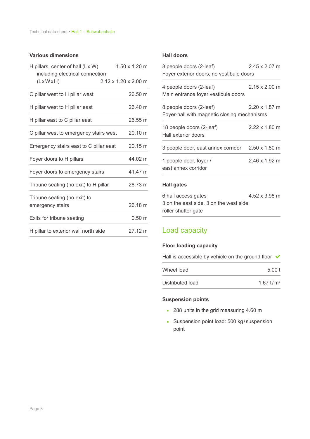## **Various dimensions**

| H pillars, center of hall (Lx W)<br>including electrical connection | $1.50 \times 1.20$ m             |
|---------------------------------------------------------------------|----------------------------------|
| $(L \times W \times H)$                                             | $2.12 \times 1.20 \times 2.00$ m |
| C pillar west to H pillar west                                      | 26.50 m                          |
| H pillar west to H pillar east                                      | 26.40 m                          |
| H pillar east to C pillar east                                      | 26.55 m                          |
| C pillar west to emergency stairs west                              | 20.10 m                          |
| Emergency stairs east to C pillar east                              | $20.15 \text{ m}$                |
| Foyer doors to H pillars                                            | 44.02 m                          |
| Foyer doors to emergency stairs                                     | 41.47 m                          |
| Tribune seating (no exit) to H pillar                               | 28.73 m                          |
| Tribune seating (no exit) to<br>emergency stairs                    | 26.18 m                          |
| Exits for tribune seating                                           | $0.50 \; m$                      |
| H pillar to exterior wall north side                                | 27.12 m                          |

#### **Hall doors**

| 8 people doors (2-leaf)<br>Foyer exterior doors, no vestibule doors    | $2.45 \times 2.07$ m         |
|------------------------------------------------------------------------|------------------------------|
| 4 people doors (2-leaf)<br>Main entrance foyer vestibule doors         | $2.15 \times 2.00 \text{ m}$ |
| 8 people doors (2-leaf)<br>Foyer-hall with magnetic closing mechanisms | $2.20 \times 1.87$ m         |
| 18 people doors (2-leaf)<br>Hall exterior doors                        | $2.22 \times 1.80$ m         |
| 3 people door, east annex corridor 2.50 x 1.80 m                       |                              |
| 1 people door, foyer /<br>east annex corridor                          | $2.46 \times 1.92 \text{ m}$ |
| Hall gates                                                             |                              |

| 6 hall access gates                     | 4.52 x 3.98 m |
|-----------------------------------------|---------------|
| 3 on the east side, 3 on the west side. |               |
| roller shutter gate                     |               |

## Load capacity

## **Floor loading capacity**

Hall is accessible by vehicle on the ground floor  $\checkmark$ 

| Wheel load       | 5.00t       |
|------------------|-------------|
| Distributed load | 1.67 $t/m2$ |

#### **Suspension points**

- 288 units in the grid measuring 4.60 m
- **EXEC** Suspension point load: 500 kg/ suspension point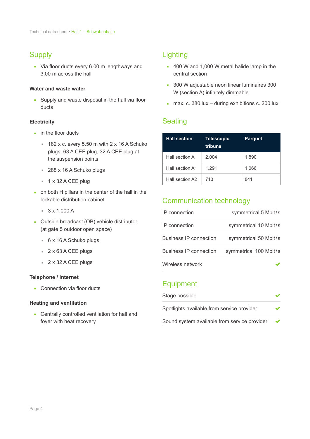## **Supply**

▪ Via floor ducts every 6.00 m lengthways and 3.00 m across the hall

#### **Water and waste water**

**EXECT** Supply and waste disposal in the hall via floor ducts

#### **Electricity**

- **•** in the floor ducts
	- $182$  x c. every 5.50 m with  $2 \times 16$  A Schuko plugs, 63 A CEE plug, 32 A CEE plug at the suspension points
	- 288 x 16 A Schuko plugs
	- 1 x 32 A CEE plug
- on both H pillars in the center of the hall in the lockable distribution cabinet
	- $\sqrt{3} \times 1,000 \text{ A}$
- Outside broadcast (OB) vehicle distributor (at gate 5 outdoor open space)
	- $6x 16A$  Schuko plugs
	- 2 x 63 A CEE plugs
	- 2 x 32 A CEE plugs

#### **Telephone / Internet**

■ Connection via floor ducts

#### **Heating and ventilation**

**• Centrally controlled ventilation for hall and** foyer with heat recovery

## Lighting

- 400 W and 1,000 W metal halide lamp in the central section
- 300 W adjustable neon linear luminaires 300 W (section A) infinitely dimmable
- **n** max. c. 380 lux during exhibitions c. 200 lux

## **Seating**

| <b>Hall section</b> | <b>Telescopic</b><br>tribune | <b>Parquet</b> |
|---------------------|------------------------------|----------------|
| Hall section A      | 2,004                        | 1,890          |
| Hall section A1     | 1,291                        | 1,066          |
| Hall section A2     | 713                          | 841            |

## Communication technology

| IP connection                 | symmetrical 5 Mbit/s   |
|-------------------------------|------------------------|
| IP connection                 | symmetrical 10 Mbit/s  |
| <b>Business IP connection</b> | symmetrical 50 Mbit/s  |
| <b>Business IP connection</b> | symmetrical 100 Mbit/s |
| Wireless network              |                        |

## **Equipment**

| Stage possible                               |   |
|----------------------------------------------|---|
| Spotlights available from service provider   |   |
| Sound system available from service provider | ✔ |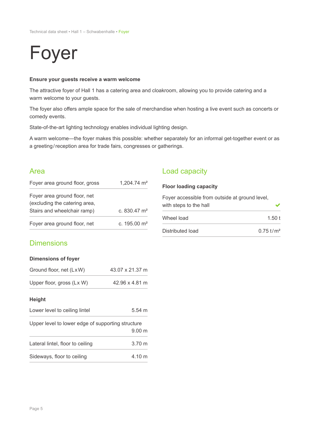## Foyer

## **Ensure your guests receive a warm welcome**

The attractive foyer of Hall 1 has a catering area and cloakroom, allowing you to provide catering and a warm welcome to your guests.

The foyer also offers ample space for the sale of merchandise when hosting a live event such as concerts or comedy events.

State-of-the-art lighting technology enables individual lighting design.

A warm welcome—the foyer makes this possible: whether separately for an informal get-together event or as a greeting/reception area for trade fairs, congresses or gatherings.

## Area

| Foyer area ground floor, gross | 1,204.74 m <sup>2</sup> |
|--------------------------------|-------------------------|
| Foyer area ground floor, net   |                         |
| (excluding the catering area,  |                         |
| Stairs and wheelchair ramp)    | c. $830.47 \text{ m}^2$ |
| Foyer area ground floor, net   | c. $195.00 \text{ m}^2$ |

## Load capacity

| <b>Floor loading capacity</b>                                            |                         |
|--------------------------------------------------------------------------|-------------------------|
| Foyer accessible from outside at ground level,<br>with steps to the hall |                         |
| Wheel load                                                               | 1.50t                   |
| Distributed load                                                         | $0.75$ t/m <sup>2</sup> |

## **Dimensions**

#### **Dimensions of foyer**

| Ground floor, net (LxW)                           | 43.07 x 21.37 m      |
|---------------------------------------------------|----------------------|
| Upper floor, gross (Lx W)                         | 42.96 x 4.81 m       |
| <b>Height</b>                                     |                      |
| Lower level to ceiling lintel                     | $5.54 \; m$          |
| Upper level to lower edge of supporting structure |                      |
|                                                   | $9.00 \; \mathrm{m}$ |
| Lateral lintel, floor to ceiling                  | $3.70 \text{ m}$     |
| Sideways, floor to ceiling                        | 4.10 m               |